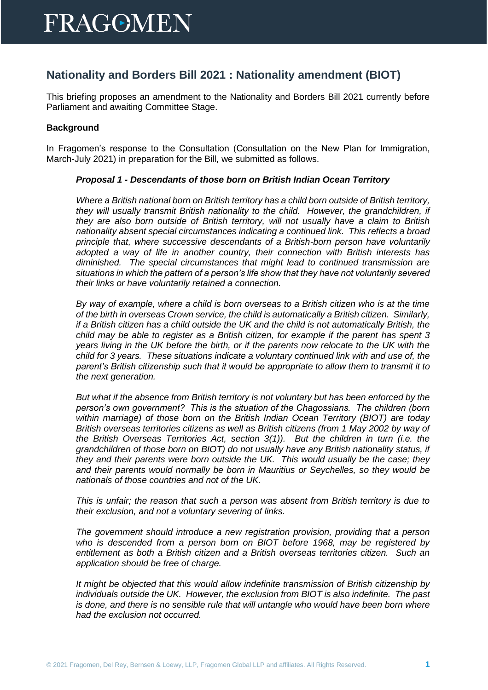# **Nationality and Borders Bill 2021 : Nationality amendment (BIOT)**

This briefing proposes an amendment to the Nationality and Borders Bill 2021 currently before Parliament and awaiting Committee Stage.

# **Background**

In Fragomen's response to the Consultation (Consultation on the New Plan for Immigration, March-July 2021) in preparation for the Bill, we submitted as follows.

### *Proposal 1 - Descendants of those born on British Indian Ocean Territory*

*Where a British national born on British territory has a child born outside of British territory, they will usually transmit British nationality to the child. However, the grandchildren, if they are also born outside of British territory, will not usually have a claim to British nationality absent special circumstances indicating a continued link. This reflects a broad principle that, where successive descendants of a British-born person have voluntarily adopted a way of life in another country, their connection with British interests has diminished. The special circumstances that might lead to continued transmission are situations in which the pattern of a person's life show that they have not voluntarily severed their links or have voluntarily retained a connection.*

*By way of example, where a child is born overseas to a British citizen who is at the time of the birth in overseas Crown service, the child is automatically a British citizen. Similarly, if a British citizen has a child outside the UK and the child is not automatically British, the child may be able to register as a British citizen, for example if the parent has spent 3 years living in the UK before the birth, or if the parents now relocate to the UK with the child for 3 years. These situations indicate a voluntary continued link with and use of, the parent's British citizenship such that it would be appropriate to allow them to transmit it to the next generation.*

*But what if the absence from British territory is not voluntary but has been enforced by the person's own government? This is the situation of the Chagossians. The children (born within marriage) of those born on the British Indian Ocean Territory (BIOT) are today British overseas territories citizens as well as British citizens (from 1 May 2002 by way of the British Overseas Territories Act, section 3(1)). But the children in turn (i.e. the grandchildren of those born on BIOT) do not usually have any British nationality status, if they and their parents were born outside the UK. This would usually be the case; they and their parents would normally be born in Mauritius or Seychelles, so they would be nationals of those countries and not of the UK.*

*This is unfair; the reason that such a person was absent from British territory is due to their exclusion, and not a voluntary severing of links.*

*The government should introduce a new registration provision, providing that a person who is descended from a person born on BIOT before 1968, may be registered by entitlement as both a British citizen and a British overseas territories citizen. Such an application should be free of charge.*

*It might be objected that this would allow indefinite transmission of British citizenship by individuals outside the UK. However, the exclusion from BIOT is also indefinite. The past is done, and there is no sensible rule that will untangle who would have been born where had the exclusion not occurred.*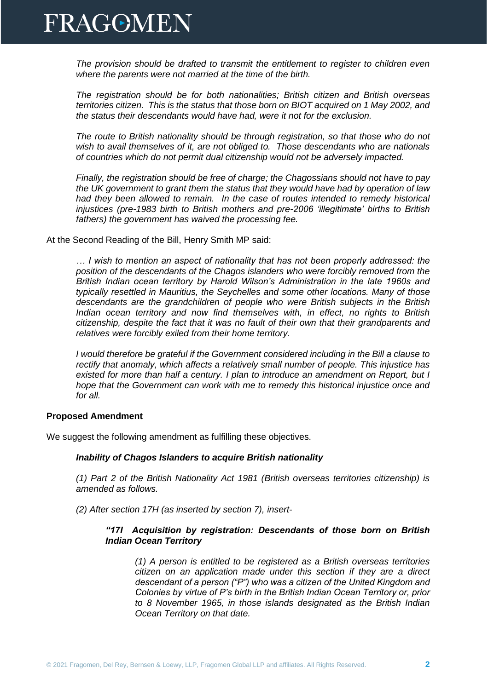*The provision should be drafted to transmit the entitlement to register to children even where the parents were not married at the time of the birth.*

*The registration should be for both nationalities; British citizen and British overseas territories citizen. This is the status that those born on BIOT acquired on 1 May 2002, and the status their descendants would have had, were it not for the exclusion.*

*The route to British nationality should be through registration, so that those who do not wish to avail themselves of it, are not obliged to. Those descendants who are nationals of countries which do not permit dual citizenship would not be adversely impacted.*

*Finally, the registration should be free of charge; the Chagossians should not have to pay the UK government to grant them the status that they would have had by operation of law had they been allowed to remain. In the case of routes intended to remedy historical injustices (pre-1983 birth to British mothers and pre-2006 'illegitimate' births to British fathers) the government has waived the processing fee.*

At the Second Reading of the Bill, Henry Smith MP said:

*… I wish to mention an aspect of nationality that has not been properly addressed: the position of the descendants of the Chagos islanders who were forcibly removed from the British Indian ocean territory by Harold Wilson's Administration in the late 1960s and typically resettled in Mauritius, the Seychelles and some other locations. Many of those descendants are the grandchildren of people who were British subjects in the British Indian ocean territory and now find themselves with, in effect, no rights to British citizenship, despite the fact that it was no fault of their own that their grandparents and relatives were forcibly exiled from their home territory.*

*I would therefore be grateful if the Government considered including in the Bill a clause to rectify that anomaly, which affects a relatively small number of people. This injustice has existed for more than half a century. I plan to introduce an amendment on Report, but I hope that the Government can work with me to remedy this historical injustice once and for all.*

# **Proposed Amendment**

We suggest the following amendment as fulfilling these objectives.

#### *Inability of Chagos Islanders to acquire British nationality*

*(1) Part 2 of the British Nationality Act 1981 (British overseas territories citizenship) is amended as follows.*

*(2) After section 17H (as inserted by section 7), insert-*

# *"17I Acquisition by registration: Descendants of those born on British Indian Ocean Territory*

*(1) A person is entitled to be registered as a British overseas territories citizen on an application made under this section if they are a direct descendant of a person ("P") who was a citizen of the United Kingdom and Colonies by virtue of P's birth in the British Indian Ocean Territory or, prior to 8 November 1965, in those islands designated as the British Indian Ocean Territory on that date.*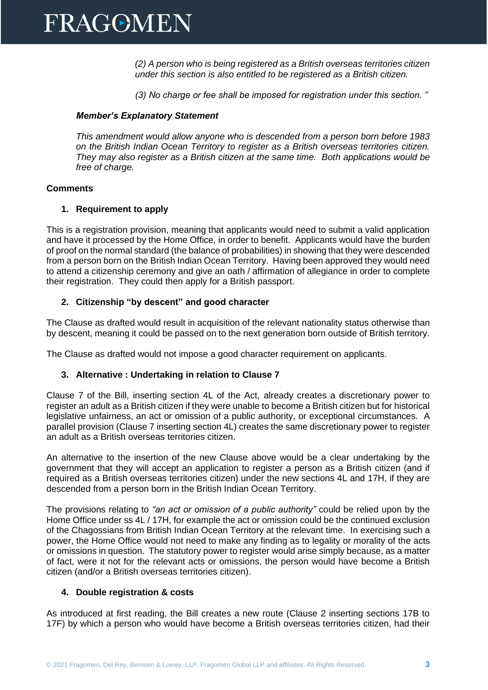*(2) A person who is being registered as a British overseas territories citizen under this section is also entitled to be registered as a British citizen.*

*(3) No charge or fee shall be imposed for registration under this section. "*

#### *Member's Explanatory Statement*

*This amendment would allow anyone who is descended from a person born before 1983 on the British Indian Ocean Territory to register as a British overseas territories citizen. They may also register as a British citizen at the same time. Both applications would be free of charge.*

#### **Comments**

#### **1. Requirement to apply**

This is a registration provision, meaning that applicants would need to submit a valid application and have it processed by the Home Office, in order to benefit. Applicants would have the burden of proof on the normal standard (the balance of probabilities) in showing that they were descended from a person born on the British Indian Ocean Territory. Having been approved they would need to attend a citizenship ceremony and give an oath / affirmation of allegiance in order to complete their registration. They could then apply for a British passport.

### **2. Citizenship "by descent" and good character**

The Clause as drafted would result in acquisition of the relevant nationality status otherwise than by descent, meaning it could be passed on to the next generation born outside of British territory.

The Clause as drafted would not impose a good character requirement on applicants.

#### **3. Alternative : Undertaking in relation to Clause 7**

Clause 7 of the Bill, inserting section 4L of the Act, already creates a discretionary power to register an adult as a British citizen if they were unable to become a British citizen but for historical legislative unfairness, an act or omission of a public authority, or exceptional circumstances. A parallel provision (Clause 7 inserting section 4L) creates the same discretionary power to register an adult as a British overseas territories citizen.

An alternative to the insertion of the new Clause above would be a clear undertaking by the government that they will accept an application to register a person as a British citizen (and if required as a British overseas territories citizen) under the new sections 4L and 17H, if they are descended from a person born in the British Indian Ocean Territory.

The provisions relating to *"an act or omission of a public authority"* could be relied upon by the Home Office under ss 4L / 17H, for example the act or omission could be the continued exclusion of the Chagossians from British Indian Ocean Territory at the relevant time. In exercising such a power, the Home Office would not need to make any finding as to legality or morality of the acts or omissions in question. The statutory power to register would arise simply because, as a matter of fact, were it not for the relevant acts or omissions, the person would have become a British citizen (and/or a British overseas territories citizen).

#### **4. Double registration & costs**

As introduced at first reading, the Bill creates a new route (Clause 2 inserting sections 17B to 17F) by which a person who would have become a British overseas territories citizen, had their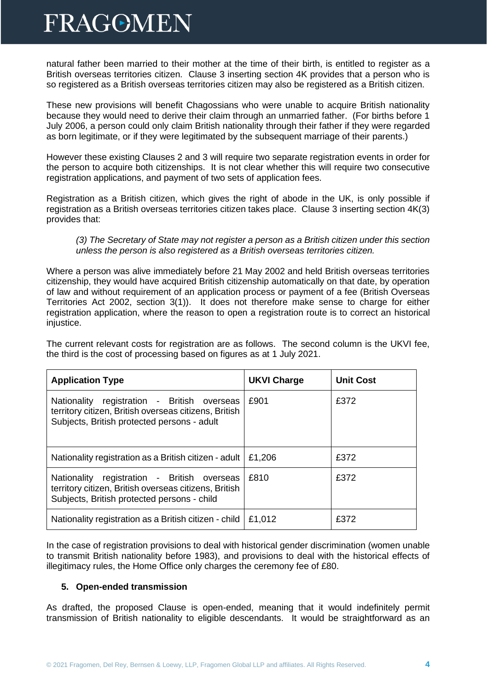# FRAGOMEN

natural father been married to their mother at the time of their birth, is entitled to register as a British overseas territories citizen. Clause 3 inserting section 4K provides that a person who is so registered as a British overseas territories citizen may also be registered as a British citizen.

These new provisions will benefit Chagossians who were unable to acquire British nationality because they would need to derive their claim through an unmarried father. (For births before 1 July 2006, a person could only claim British nationality through their father if they were regarded as born legitimate, or if they were legitimated by the subsequent marriage of their parents.)

However these existing Clauses 2 and 3 will require two separate registration events in order for the person to acquire both citizenships. It is not clear whether this will require two consecutive registration applications, and payment of two sets of application fees.

Registration as a British citizen, which gives the right of abode in the UK, is only possible if registration as a British overseas territories citizen takes place. Clause 3 inserting section 4K(3) provides that:

*(3) The Secretary of State may not register a person as a British citizen under this section unless the person is also registered as a British overseas territories citizen.*

Where a person was alive immediately before 21 May 2002 and held British overseas territories citizenship, they would have acquired British citizenship automatically on that date, by operation of law and without requirement of an application process or payment of a fee (British Overseas Territories Act 2002, section 3(1)). It does not therefore make sense to charge for either registration application, where the reason to open a registration route is to correct an historical injustice.

The current relevant costs for registration are as follows. The second column is the UKVI fee, the third is the cost of processing based on figures as at 1 July 2021.

| <b>Application Type</b>                                                                                                                                | <b>UKVI Charge</b> | <b>Unit Cost</b> |
|--------------------------------------------------------------------------------------------------------------------------------------------------------|--------------------|------------------|
| Nationality registration - British overseas<br>territory citizen, British overseas citizens, British<br>Subjects, British protected persons - adult    | £901               | £372             |
| Nationality registration as a British citizen - adult                                                                                                  | £1,206             | £372             |
| registration - British overseas<br>Nationality<br>territory citizen, British overseas citizens, British<br>Subjects, British protected persons - child | £810               | £372             |
| Nationality registration as a British citizen - child                                                                                                  | £1,012             | £372             |

In the case of registration provisions to deal with historical gender discrimination (women unable to transmit British nationality before 1983), and provisions to deal with the historical effects of illegitimacy rules, the Home Office only charges the ceremony fee of £80.

# **5. Open-ended transmission**

As drafted, the proposed Clause is open-ended, meaning that it would indefinitely permit transmission of British nationality to eligible descendants. It would be straightforward as an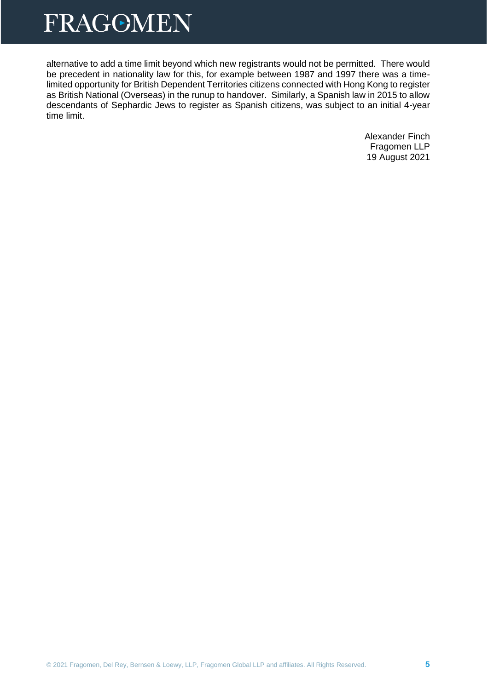# **FRAGOMEN**

alternative to add a time limit beyond which new registrants would not be permitted. There would be precedent in nationality law for this, for example between 1987 and 1997 there was a timelimited opportunity for British Dependent Territories citizens connected with Hong Kong to register as British National (Overseas) in the runup to handover. Similarly, a Spanish law in 2015 to allow descendants of Sephardic Jews to register as Spanish citizens, was subject to an initial 4-year time limit.

> Alexander Finch Fragomen LLP 19 August 2021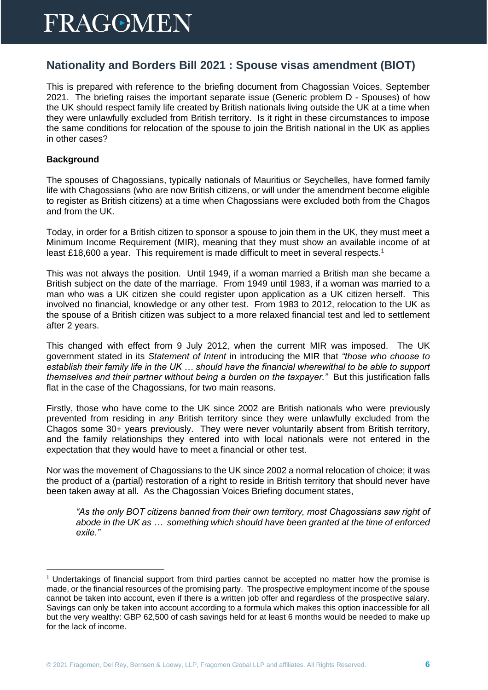# **Nationality and Borders Bill 2021 : Spouse visas amendment (BIOT)**

This is prepared with reference to the briefing document from Chagossian Voices, September 2021. The briefing raises the important separate issue (Generic problem D - Spouses) of how the UK should respect family life created by British nationals living outside the UK at a time when they were unlawfully excluded from British territory. Is it right in these circumstances to impose the same conditions for relocation of the spouse to join the British national in the UK as applies in other cases?

# **Background**

The spouses of Chagossians, typically nationals of Mauritius or Seychelles, have formed family life with Chagossians (who are now British citizens, or will under the amendment become eligible to register as British citizens) at a time when Chagossians were excluded both from the Chagos and from the UK.

Today, in order for a British citizen to sponsor a spouse to join them in the UK, they must meet a Minimum Income Requirement (MIR), meaning that they must show an available income of at least £18,600 a year. This requirement is made difficult to meet in several respects.<sup>1</sup>

This was not always the position. Until 1949, if a woman married a British man she became a British subject on the date of the marriage. From 1949 until 1983, if a woman was married to a man who was a UK citizen she could register upon application as a UK citizen herself. This involved no financial, knowledge or any other test. From 1983 to 2012, relocation to the UK as the spouse of a British citizen was subject to a more relaxed financial test and led to settlement after 2 years.

This changed with effect from 9 July 2012, when the current MIR was imposed. The UK government stated in its *Statement of Intent* in introducing the MIR that *"those who choose to establish their family life in the UK … should have the financial wherewithal to be able to support themselves and their partner without being a burden on the taxpayer."* But this justification falls flat in the case of the Chagossians, for two main reasons.

Firstly, those who have come to the UK since 2002 are British nationals who were previously prevented from residing in *any* British territory since they were unlawfully excluded from the Chagos some 30+ years previously. They were never voluntarily absent from British territory, and the family relationships they entered into with local nationals were not entered in the expectation that they would have to meet a financial or other test.

Nor was the movement of Chagossians to the UK since 2002 a normal relocation of choice; it was the product of a (partial) restoration of a right to reside in British territory that should never have been taken away at all. As the Chagossian Voices Briefing document states,

*"As the only BOT citizens banned from their own territory, most Chagossians saw right of abode in the UK as … something which should have been granted at the time of enforced exile."*

 $1$  Undertakings of financial support from third parties cannot be accepted no matter how the promise is made, or the financial resources of the promising party. The prospective employment income of the spouse cannot be taken into account, even if there is a written job offer and regardless of the prospective salary. Savings can only be taken into account according to a formula which makes this option inaccessible for all but the very wealthy: GBP 62,500 of cash savings held for at least 6 months would be needed to make up for the lack of income.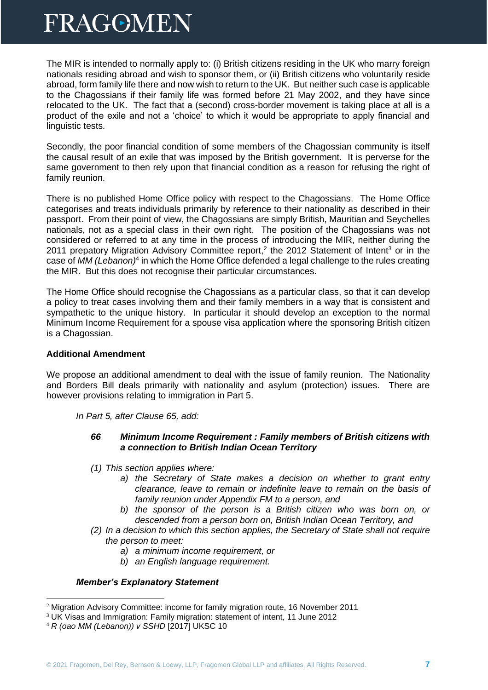# FRAGOMEN

The MIR is intended to normally apply to: (i) British citizens residing in the UK who marry foreign nationals residing abroad and wish to sponsor them, or (ii) British citizens who voluntarily reside abroad, form family life there and now wish to return to the UK. But neither such case is applicable to the Chagossians if their family life was formed before 21 May 2002, and they have since relocated to the UK. The fact that a (second) cross-border movement is taking place at all is a product of the exile and not a 'choice' to which it would be appropriate to apply financial and linguistic tests.

Secondly, the poor financial condition of some members of the Chagossian community is itself the causal result of an exile that was imposed by the British government. It is perverse for the same government to then rely upon that financial condition as a reason for refusing the right of family reunion.

There is no published Home Office policy with respect to the Chagossians. The Home Office categorises and treats individuals primarily by reference to their nationality as described in their passport. From their point of view, the Chagossians are simply British, Mauritian and Seychelles nationals, not as a special class in their own right. The position of the Chagossians was not considered or referred to at any time in the process of introducing the MIR, neither during the 2011 prepatory Migration Advisory Committee report,<sup>2</sup> the 2012 Statement of Intent<sup>3</sup> or in the case of *MM (Lebanon)<sup>4</sup>* in which the Home Office defended a legal challenge to the rules creating the MIR. But this does not recognise their particular circumstances.

The Home Office should recognise the Chagossians as a particular class, so that it can develop a policy to treat cases involving them and their family members in a way that is consistent and sympathetic to the unique history. In particular it should develop an exception to the normal Minimum Income Requirement for a spouse visa application where the sponsoring British citizen is a Chagossian.

# **Additional Amendment**

We propose an additional amendment to deal with the issue of family reunion. The Nationality and Borders Bill deals primarily with nationality and asylum (protection) issues. There are however provisions relating to immigration in Part 5.

*In Part 5, after Clause 65, add:*

# *66 Minimum Income Requirement : Family members of British citizens with a connection to British Indian Ocean Territory*

- *(1) This section applies where:*
	- *a) the Secretary of State makes a decision on whether to grant entry clearance, leave to remain or indefinite leave to remain on the basis of family reunion under Appendix FM to a person, and*
	- *b) the sponsor of the person is a British citizen who was born on, or descended from a person born on, British Indian Ocean Territory, and*
- *(2) In a decision to which this section applies, the Secretary of State shall not require the person to meet:*
	- *a) a minimum income requirement, or*
	- *b) an English language requirement.*

# *Member's Explanatory Statement*

<sup>3</sup> UK Visas and Immigration: Family migration: statement of intent, 11 June 2012

<sup>2</sup> Migration Advisory Committee: income for family migration route, 16 November 2011

<sup>4</sup> *R (oao MM (Lebanon)) v SSHD* [2017] UKSC 10